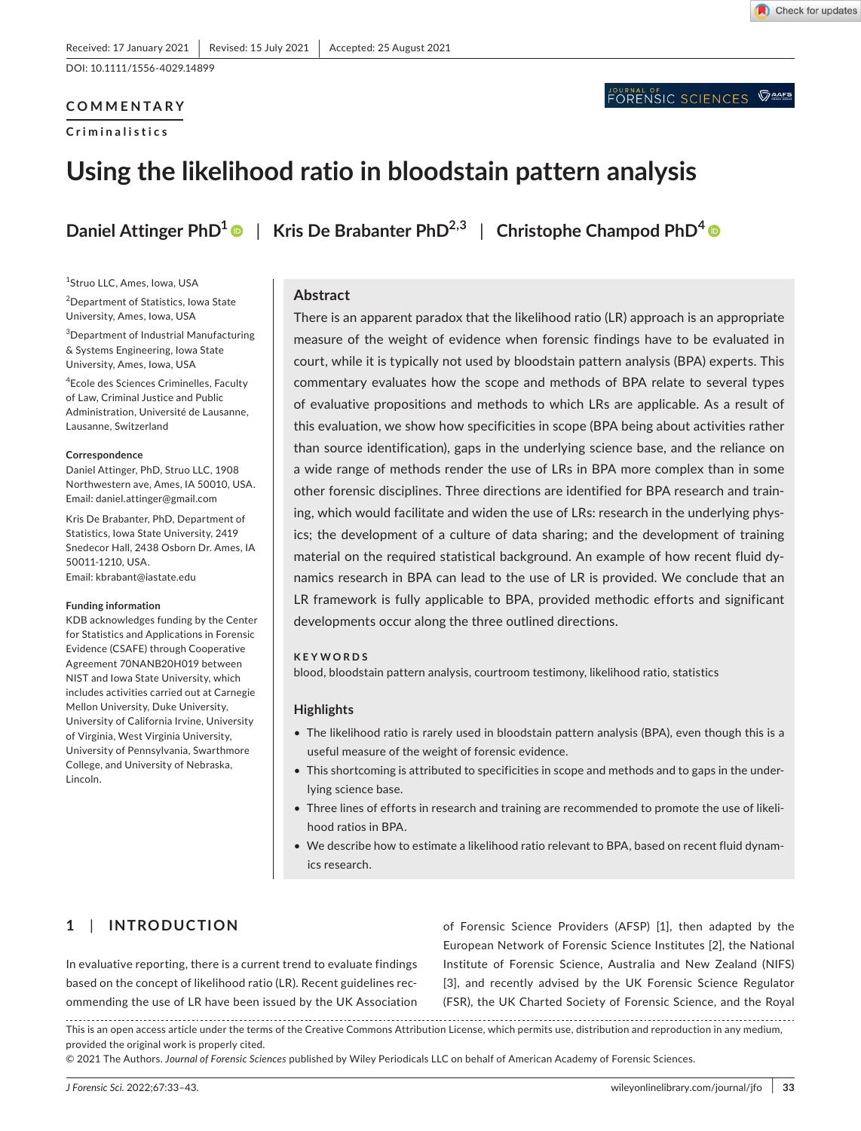DOI: 10.1111/1556-4029.14899

#### **COMMENTARY**

**Criminalistics**

Check for updates

# **Using the likelihood ratio in bloodstain pattern analysis**

**Daniel Attinger PhD<sup>1</sup> | Kris De Brabanter PhD<sup>2,3</sup> | Christophe Champod PhD<sup>4</sup> | Christophe Champod PhD<sup>4</sup>** 

1 Struo LLC, Ames, Iowa, USA

<sup>2</sup>Department of Statistics, Iowa State University, Ames, Iowa, USA

3 Department of Industrial Manufacturing & Systems Engineering, Iowa State University, Ames, Iowa, USA

4 Ecole des Sciences Criminelles, Faculty of Law, Criminal Justice and Public Administration, Université de Lausanne, Lausanne, Switzerland

#### **Correspondence**

Daniel Attinger, PhD, Struo LLC, 1908 Northwestern ave, Ames, IA 50010, USA. Email: [daniel.attinger@gmail.com](mailto:daniel.attinger@gmail.com)

Kris De Brabanter, PhD, Department of Statistics, Iowa State University, 2419 Snedecor Hall, 2438 Osborn Dr. Ames, IA 50011-1210, USA. Email: [kbrabant@iastate.edu](mailto:kbrabant@iastate.edu)

#### **Funding information**

KDB acknowledges funding by the Center for Statistics and Applications in Forensic Evidence (CSAFE) through Cooperative Agreement 70NANB20H019 between NIST and Iowa State University, which includes activities carried out at Carnegie Mellon University, Duke University, University of California Irvine, University of Virginia, West Virginia University, University of Pennsylvania, Swarthmore College, and University of Nebraska, Lincoln.

#### **Abstract**

There is an apparent paradox that the likelihood ratio (LR) approach is an appropriate measure of the weight of evidence when forensic findings have to be evaluated in court, while it is typically not used by bloodstain pattern analysis (BPA) experts. This commentary evaluates how the scope and methods of BPA relate to several types of evaluative propositions and methods to which LRs are applicable. As a result of this evaluation, we show how specificities in scope (BPA being about activities rather than source identification), gaps in the underlying science base, and the reliance on a wide range of methods render the use of LRs in BPA more complex than in some other forensic disciplines. Three directions are identified for BPA research and training, which would facilitate and widen the use of LRs: research in the underlying physics; the development of a culture of data sharing; and the development of training material on the required statistical background. An example of how recent fluid dynamics research in BPA can lead to the use of LR is provided. We conclude that an LR framework is fully applicable to BPA, provided methodic efforts and significant developments occur along the three outlined directions.

#### **KEYWORDS**

blood, bloodstain pattern analysis, courtroom testimony, likelihood ratio, statistics

#### **Highlights**

- The likelihood ratio is rarely used in bloodstain pattern analysis (BPA), even though this is a useful measure of the weight of forensic evidence.
- This shortcoming is attributed to specificities in scope and methods and to gaps in the underlying science base.
- Three lines of efforts in research and training are recommended to promote the use of likelihood ratios in BPA.
- We describe how to estimate a likelihood ratio relevant to BPA, based on recent fluid dynamics research.

## **1**  | **INTRODUCTION**

In evaluative reporting, there is a current trend to evaluate findings based on the concept of likelihood ratio (LR). Recent guidelines recommending the use of LR have been issued by the UK Association

of Forensic Science Providers (AFSP) [1], then adapted by the European Network of Forensic Science Institutes [2], the National Institute of Forensic Science, Australia and New Zealand (NIFS) [3], and recently advised by the UK Forensic Science Regulator (FSR), the UK Charted Society of Forensic Science, and the Royal

This is an open access article under the terms of the [Creative Commons Attribution](http://creativecommons.org/licenses/by/4.0/) License, which permits use, distribution and reproduction in any medium, provided the original work is properly cited.

© 2021 The Authors. *Journal of Forensic Sciences* published by Wiley Periodicals LLC on behalf of American Academy of Forensic Sciences.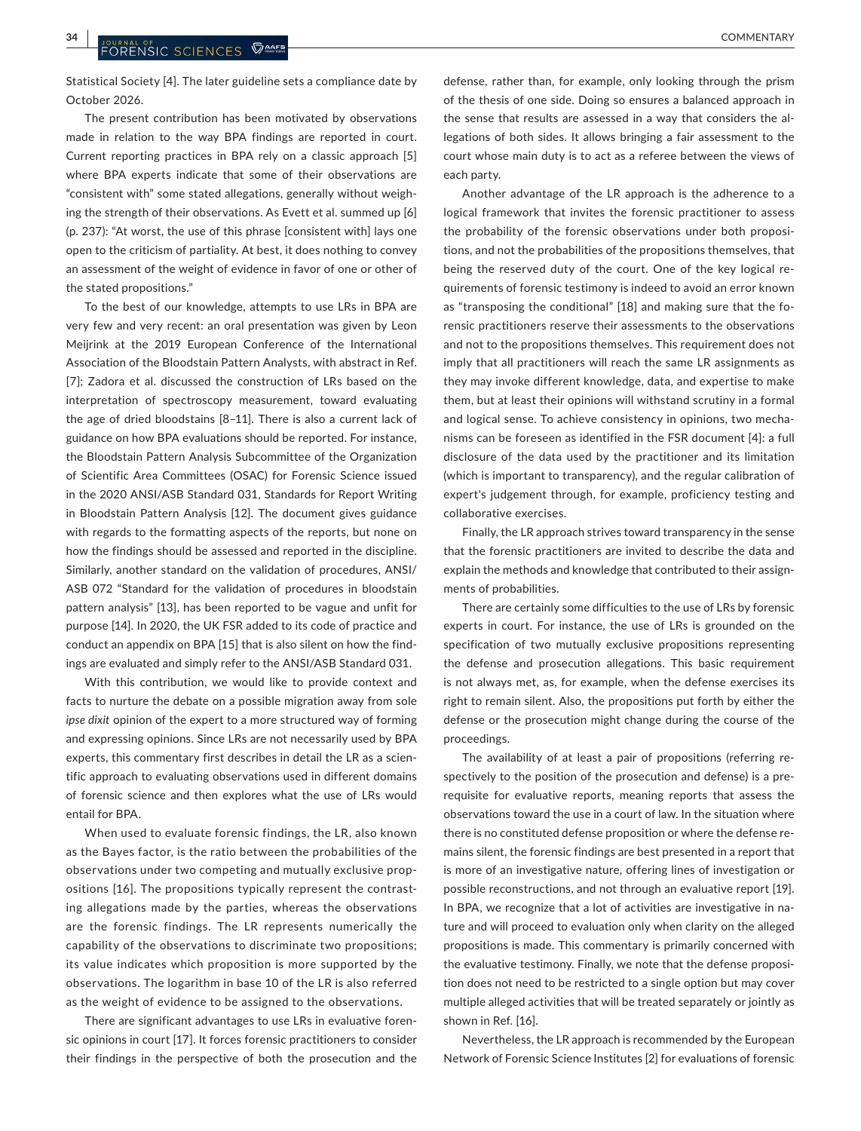Statistical Society [4]. The later guideline sets a compliance date by October 2026.

The present contribution has been motivated by observations made in relation to the way BPA findings are reported in court. Current reporting practices in BPA rely on a classic approach [5] where BPA experts indicate that some of their observations are "consistent with" some stated allegations, generally without weighing the strength of their observations. As Evett et al. summed up [6] (p. 237): "At worst, the use of this phrase [consistent with] lays one open to the criticism of partiality. At best, it does nothing to convey an assessment of the weight of evidence in favor of one or other of the stated propositions."

To the best of our knowledge, attempts to use LRs in BPA are very few and very recent: an oral presentation was given by Leon Meijrink at the 2019 European Conference of the International Association of the Bloodstain Pattern Analysts, with abstract in Ref. [7]; Zadora et al. discussed the construction of LRs based on the interpretation of spectroscopy measurement, toward evaluating the age of dried bloodstains [8–11]. There is also a current lack of guidance on how BPA evaluations should be reported. For instance, the Bloodstain Pattern Analysis Subcommittee of the Organization of Scientific Area Committees (OSAC) for Forensic Science issued in the 2020 ANSI/ASB Standard 031, Standards for Report Writing in Bloodstain Pattern Analysis [12]. The document gives guidance with regards to the formatting aspects of the reports, but none on how the findings should be assessed and reported in the discipline. Similarly, another standard on the validation of procedures, ANSI/ ASB 072 "Standard for the validation of procedures in bloodstain pattern analysis" [13], has been reported to be vague and unfit for purpose [14]. In 2020, the UK FSR added to its code of practice and conduct an appendix on BPA [15] that is also silent on how the findings are evaluated and simply refer to the ANSI/ASB Standard 031.

With this contribution, we would like to provide context and facts to nurture the debate on a possible migration away from sole *ipse dixit* opinion of the expert to a more structured way of forming and expressing opinions. Since LRs are not necessarily used by BPA experts, this commentary first describes in detail the LR as a scientific approach to evaluating observations used in different domains of forensic science and then explores what the use of LRs would entail for BPA.

When used to evaluate forensic findings, the LR, also known as the Bayes factor, is the ratio between the probabilities of the observations under two competing and mutually exclusive propositions [16]. The propositions typically represent the contrasting allegations made by the parties, whereas the observations are the forensic findings. The LR represents numerically the capability of the observations to discriminate two propositions; its value indicates which proposition is more supported by the observations. The logarithm in base 10 of the LR is also referred as the weight of evidence to be assigned to the observations.

There are significant advantages to use LRs in evaluative forensic opinions in court [17]. It forces forensic practitioners to consider their findings in the perspective of both the prosecution and the

defense, rather than, for example, only looking through the prism of the thesis of one side. Doing so ensures a balanced approach in the sense that results are assessed in a way that considers the allegations of both sides. It allows bringing a fair assessment to the court whose main duty is to act as a referee between the views of each party.

Another advantage of the LR approach is the adherence to a logical framework that invites the forensic practitioner to assess the probability of the forensic observations under both propositions, and not the probabilities of the propositions themselves, that being the reserved duty of the court. One of the key logical requirements of forensic testimony is indeed to avoid an error known as "transposing the conditional" [18] and making sure that the forensic practitioners reserve their assessments to the observations and not to the propositions themselves. This requirement does not imply that all practitioners will reach the same LR assignments as they may invoke different knowledge, data, and expertise to make them, but at least their opinions will withstand scrutiny in a formal and logical sense. To achieve consistency in opinions, two mechanisms can be foreseen as identified in the FSR document [4]: a full disclosure of the data used by the practitioner and its limitation (which is important to transparency), and the regular calibration of expert's judgement through, for example, proficiency testing and collaborative exercises.

Finally, the LR approach strives toward transparency in the sense that the forensic practitioners are invited to describe the data and explain the methods and knowledge that contributed to their assignments of probabilities.

There are certainly some difficulties to the use of LRs by forensic experts in court. For instance, the use of LRs is grounded on the specification of two mutually exclusive propositions representing the defense and prosecution allegations. This basic requirement is not always met, as, for example, when the defense exercises its right to remain silent. Also, the propositions put forth by either the defense or the prosecution might change during the course of the proceedings.

The availability of at least a pair of propositions (referring respectively to the position of the prosecution and defense) is a prerequisite for evaluative reports, meaning reports that assess the observations toward the use in a court of law. In the situation where there is no constituted defense proposition or where the defense remains silent, the forensic findings are best presented in a report that is more of an investigative nature, offering lines of investigation or possible reconstructions, and not through an evaluative report [19]. In BPA, we recognize that a lot of activities are investigative in nature and will proceed to evaluation only when clarity on the alleged propositions is made. This commentary is primarily concerned with the evaluative testimony. Finally, we note that the defense proposition does not need to be restricted to a single option but may cover multiple alleged activities that will be treated separately or jointly as shown in Ref. [16].

Nevertheless, the LR approach is recommended by the European Network of Forensic Science Institutes [2] for evaluations of forensic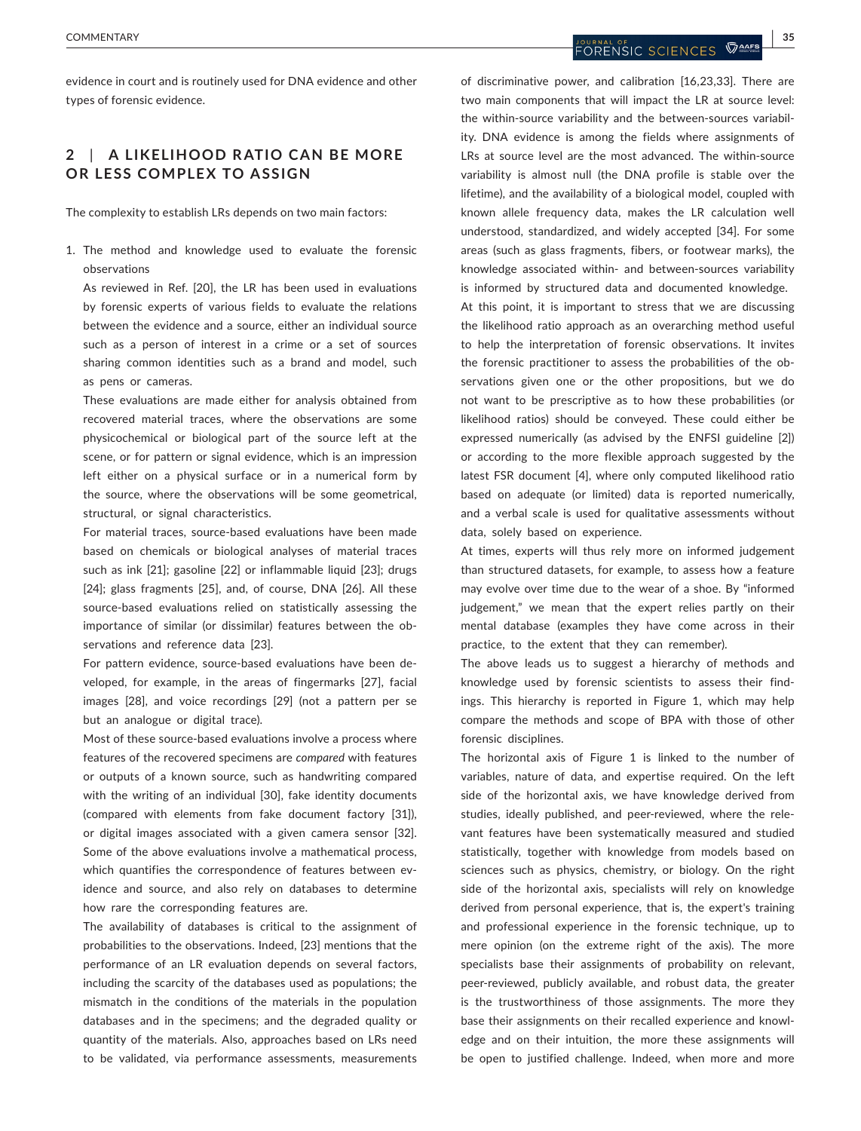evidence in court and is routinely used for DNA evidence and other types of forensic evidence.

## **2**  | **A LIKELIHOOD R ATIO C AN BE MORE OR LESS COMPLEX TO ASSIGN**

The complexity to establish LRs depends on two main factors:

1. The method and knowledge used to evaluate the forensic observations

As reviewed in Ref. [20], the LR has been used in evaluations by forensic experts of various fields to evaluate the relations between the evidence and a source, either an individual source such as a person of interest in a crime or a set of sources sharing common identities such as a brand and model, such as pens or cameras.

These evaluations are made either for analysis obtained from recovered material traces, where the observations are some physicochemical or biological part of the source left at the scene, or for pattern or signal evidence, which is an impression left either on a physical surface or in a numerical form by the source, where the observations will be some geometrical, structural, or signal characteristics.

For material traces, source-based evaluations have been made based on chemicals or biological analyses of material traces such as ink [21]; gasoline [22] or inflammable liquid [23]; drugs [24]; glass fragments [25], and, of course, DNA [26]. All these source-based evaluations relied on statistically assessing the importance of similar (or dissimilar) features between the observations and reference data [23].

For pattern evidence, source-based evaluations have been developed, for example, in the areas of fingermarks [27], facial images [28], and voice recordings [29] (not a pattern per se but an analogue or digital trace).

Most of these source-based evaluations involve a process where features of the recovered specimens are *compared* with features or outputs of a known source, such as handwriting compared with the writing of an individual [30], fake identity documents (compared with elements from fake document factory [31]), or digital images associated with a given camera sensor [32]. Some of the above evaluations involve a mathematical process, which quantifies the correspondence of features between evidence and source, and also rely on databases to determine how rare the corresponding features are.

The availability of databases is critical to the assignment of probabilities to the observations. Indeed, [23] mentions that the performance of an LR evaluation depends on several factors, including the scarcity of the databases used as populations; the mismatch in the conditions of the materials in the population databases and in the specimens; and the degraded quality or quantity of the materials. Also, approaches based on LRs need to be validated, via performance assessments, measurements

of discriminative power, and calibration [16,23,33]. There are two main components that will impact the LR at source level: the within-source variability and the between-sources variability. DNA evidence is among the fields where assignments of LRs at source level are the most advanced. The within-source variability is almost null (the DNA profile is stable over the lifetime), and the availability of a biological model, coupled with known allele frequency data, makes the LR calculation well understood, standardized, and widely accepted [34]. For some areas (such as glass fragments, fibers, or footwear marks), the knowledge associated within- and between-sources variability is informed by structured data and documented knowledge.

At this point, it is important to stress that we are discussing the likelihood ratio approach as an overarching method useful to help the interpretation of forensic observations. It invites the forensic practitioner to assess the probabilities of the observations given one or the other propositions, but we do not want to be prescriptive as to how these probabilities (or likelihood ratios) should be conveyed. These could either be expressed numerically (as advised by the ENFSI guideline [2]) or according to the more flexible approach suggested by the latest FSR document [4], where only computed likelihood ratio based on adequate (or limited) data is reported numerically, and a verbal scale is used for qualitative assessments without data, solely based on experience.

At times, experts will thus rely more on informed judgement than structured datasets, for example, to assess how a feature may evolve over time due to the wear of a shoe. By "informed judgement," we mean that the expert relies partly on their mental database (examples they have come across in their practice, to the extent that they can remember).

The above leads us to suggest a hierarchy of methods and knowledge used by forensic scientists to assess their findings. This hierarchy is reported in Figure 1, which may help compare the methods and scope of BPA with those of other forensic disciplines.

The horizontal axis of Figure 1 is linked to the number of variables, nature of data, and expertise required. On the left side of the horizontal axis, we have knowledge derived from studies, ideally published, and peer-reviewed, where the relevant features have been systematically measured and studied statistically, together with knowledge from models based on sciences such as physics, chemistry, or biology. On the right side of the horizontal axis, specialists will rely on knowledge derived from personal experience, that is, the expert's training and professional experience in the forensic technique, up to mere opinion (on the extreme right of the axis). The more specialists base their assignments of probability on relevant, peer-reviewed, publicly available, and robust data, the greater is the trustworthiness of those assignments. The more they base their assignments on their recalled experience and knowledge and on their intuition, the more these assignments will be open to justified challenge. Indeed, when more and more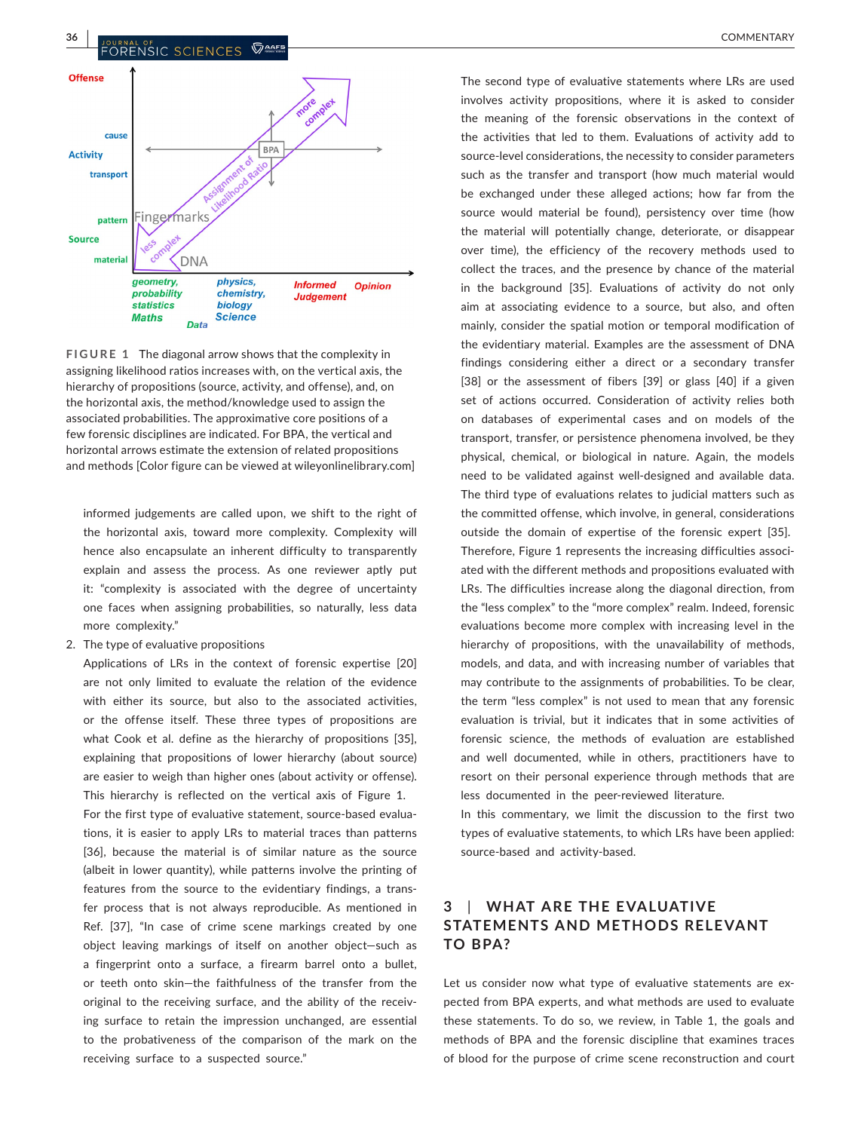## **36 <sup>|</sup>**  COMMENTARY



**FIGURE 1** The diagonal arrow shows that the complexity in assigning likelihood ratios increases with, on the vertical axis, the hierarchy of propositions (source, activity, and offense), and, on the horizontal axis, the method/knowledge used to assign the associated probabilities. The approximative core positions of a few forensic disciplines are indicated. For BPA, the vertical and horizontal arrows estimate the extension of related propositions and methods [Color figure can be viewed at [wileyonlinelibrary.com\]](https://onlinelibrary.wiley.com/)

informed judgements are called upon, we shift to the right of the horizontal axis, toward more complexity. Complexity will hence also encapsulate an inherent difficulty to transparently explain and assess the process. As one reviewer aptly put it: "complexity is associated with the degree of uncertainty one faces when assigning probabilities, so naturally, less data more complexity."

2. The type of evaluative propositions

Applications of LRs in the context of forensic expertise [20] are not only limited to evaluate the relation of the evidence with either its source, but also to the associated activities, or the offense itself. These three types of propositions are what Cook et al. define as the hierarchy of propositions [35], explaining that propositions of lower hierarchy (about source) are easier to weigh than higher ones (about activity or offense). This hierarchy is reflected on the vertical axis of Figure 1. For the first type of evaluative statement, source-based evaluations, it is easier to apply LRs to material traces than patterns [36], because the material is of similar nature as the source (albeit in lower quantity), while patterns involve the printing of features from the source to the evidentiary findings, a transfer process that is not always reproducible. As mentioned in Ref. [37], "In case of crime scene markings created by one object leaving markings of itself on another object—such as a fingerprint onto a surface, a firearm barrel onto a bullet, or teeth onto skin—the faithfulness of the transfer from the original to the receiving surface, and the ability of the receiving surface to retain the impression unchanged, are essential to the probativeness of the comparison of the mark on the receiving surface to a suspected source."

The second type of evaluative statements where LRs are used involves activity propositions, where it is asked to consider the meaning of the forensic observations in the context of the activities that led to them. Evaluations of activity add to source-level considerations, the necessity to consider parameters such as the transfer and transport (how much material would be exchanged under these alleged actions; how far from the source would material be found), persistency over time (how the material will potentially change, deteriorate, or disappear over time), the efficiency of the recovery methods used to collect the traces, and the presence by chance of the material in the background [35]. Evaluations of activity do not only aim at associating evidence to a source, but also, and often mainly, consider the spatial motion or temporal modification of the evidentiary material. Examples are the assessment of DNA findings considering either a direct or a secondary transfer [38] or the assessment of fibers [39] or glass [40] if a given set of actions occurred. Consideration of activity relies both on databases of experimental cases and on models of the transport, transfer, or persistence phenomena involved, be they physical, chemical, or biological in nature. Again, the models need to be validated against well-designed and available data. The third type of evaluations relates to judicial matters such as the committed offense, which involve, in general, considerations outside the domain of expertise of the forensic expert [35]. Therefore, Figure 1 represents the increasing difficulties associated with the different methods and propositions evaluated with LRs. The difficulties increase along the diagonal direction, from the "less complex" to the "more complex" realm. Indeed, forensic evaluations become more complex with increasing level in the hierarchy of propositions, with the unavailability of methods, models, and data, and with increasing number of variables that may contribute to the assignments of probabilities. To be clear, the term "less complex" is not used to mean that any forensic evaluation is trivial, but it indicates that in some activities of forensic science, the methods of evaluation are established and well documented, while in others, practitioners have to resort on their personal experience through methods that are less documented in the peer-reviewed literature.

In this commentary, we limit the discussion to the first two types of evaluative statements, to which LRs have been applied: source-based and activity-based.

## **3**  | **WHAT ARE THE E VALUATIVE STATEMENTS AND METHODS RELE VANT TO BPA?**

Let us consider now what type of evaluative statements are expected from BPA experts, and what methods are used to evaluate these statements. To do so, we review, in Table 1, the goals and methods of BPA and the forensic discipline that examines traces of blood for the purpose of crime scene reconstruction and court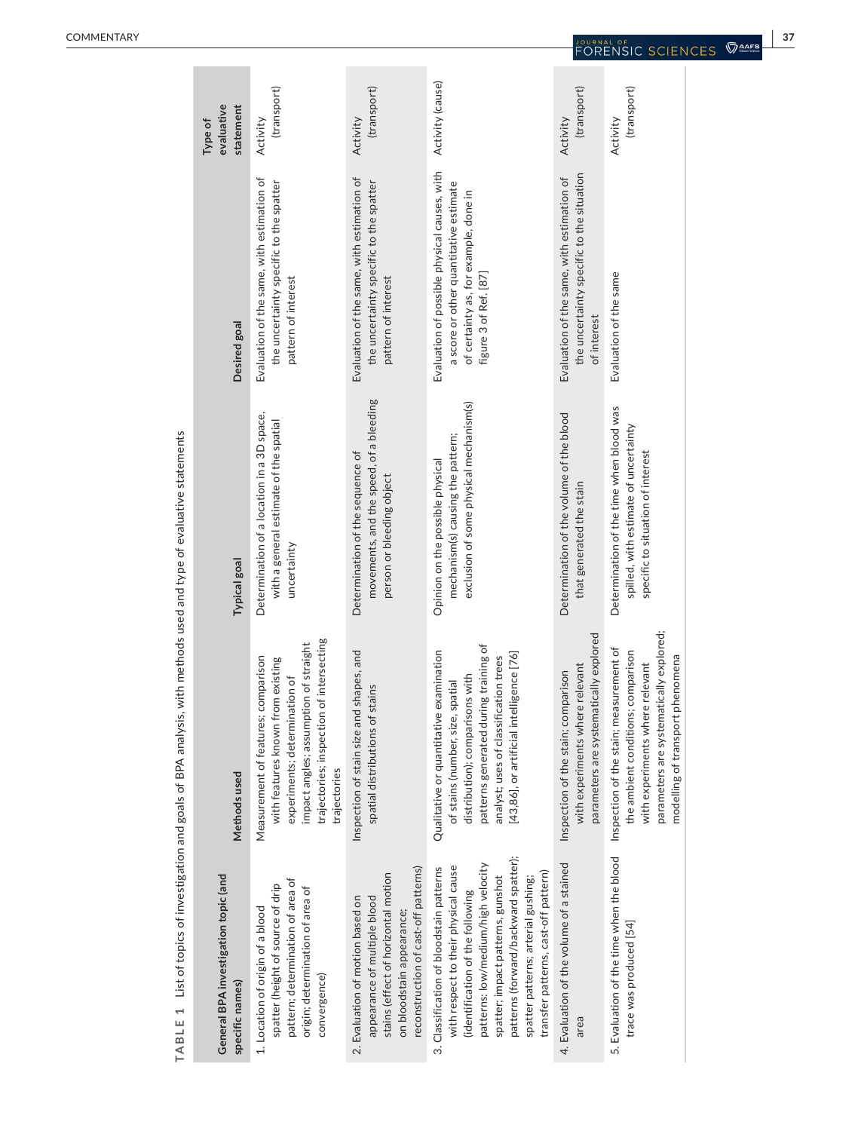| evaluative<br>statement<br>Type of                      | (transport)<br>Activity                                                                                                                                                                                        | (transport)<br>Activity                                                                                                                                                      | Activity (cause)                                                                                                                                                                                                                                                                                                       | (transport)<br>Activity                                                                                          | (transport)<br>Activity                                                                                                                                                                         |
|---------------------------------------------------------|----------------------------------------------------------------------------------------------------------------------------------------------------------------------------------------------------------------|------------------------------------------------------------------------------------------------------------------------------------------------------------------------------|------------------------------------------------------------------------------------------------------------------------------------------------------------------------------------------------------------------------------------------------------------------------------------------------------------------------|------------------------------------------------------------------------------------------------------------------|-------------------------------------------------------------------------------------------------------------------------------------------------------------------------------------------------|
| Desired goal                                            | Evaluation of the same, with estimation of<br>the uncertainty specific to the spatter<br>pattern of interest                                                                                                   | Evaluation of the same, with estimation of<br>the uncertainty specific to the spatter<br>pattern of interest                                                                 | Evaluation of possible physical causes, with<br>a score or other quantitative estimate<br>of certainty as, for example, done in<br>figure 3 of Ref. [87]                                                                                                                                                               | the uncertainty specific to the situation<br>Evaluation of the same, with estimation of<br>of interest           | Evaluation of the same                                                                                                                                                                          |
| <b>Typical goal</b>                                     | Determination of a location in a 3D space,<br>with a general estimate of the spatial<br>uncertainty                                                                                                            | movements, and the speed, of a bleeding<br>Determination of the sequence of<br>person or bleeding object                                                                     | exclusion of some physical mechanism(s)<br>mechanism(s) causing the pattern;<br>Opinion on the possible physical                                                                                                                                                                                                       | Determination of the volume of the blood<br>that generated the stain                                             | Determination of the time when blood was<br>spilled, with estimate of uncertainty<br>specific to situation of interest                                                                          |
| Methods used                                            | trajectories; inspection of intersecting<br>impact angles; assumption of straight<br>Measurement of features; comparison<br>with features known from existing<br>experiments; determination of<br>trajectories | Inspection of stain size and shapes, and<br>spatial distributions of stains                                                                                                  | patterns generated during training of<br>examination<br>[43,86], or artificial intelligence [76]<br>analyst; uses of classification trees<br>distribution); comparisons with<br>of stains (number, size, spatial<br>Qualitative or quantitative                                                                        | parameters are systematically explored<br>with experiments where relevant<br>Inspection of the stain; comparison | parameters are systematically explored;<br>Inspection of the stain; measurement of<br>the ambient conditions; comparison<br>modelling of transport phenomena<br>with experiments where relevant |
| General BPA investigation topic (and<br>specific names) | pattern; determination of area of<br>spatter (height of source of drip<br>origin; determination of area of<br>1. Location of origin of a blood<br>convergence)                                                 | reconstruction of cast-off patterns)<br>stains (effect of horizontal motion<br>2. Evaluation of motion based on<br>appearance of multiple blood<br>on bloodstain appearance; | patterns (forward/backward spatter);<br>patterns: low/medium/high velocity<br>with respect to their physical cause<br>3. Classification of bloodstain patterns<br>transfer patterns, cast-off pattern)<br>spatter; impact patterns, gunshot<br>spatter patterns; arterial gushing;<br>(identification of the following | 4. Evaluation of the volume of a stained                                                                         | 5. Evaluation of the time when the blood<br>trace was produced [54]                                                                                                                             |

TABLE 1 List of topics of investigation and goals of BPA analysis, with methods used and type of evaluative statements **TABLE 1** List of topics of investigation and goals of BPA analysis, with methods used and type of evaluative statements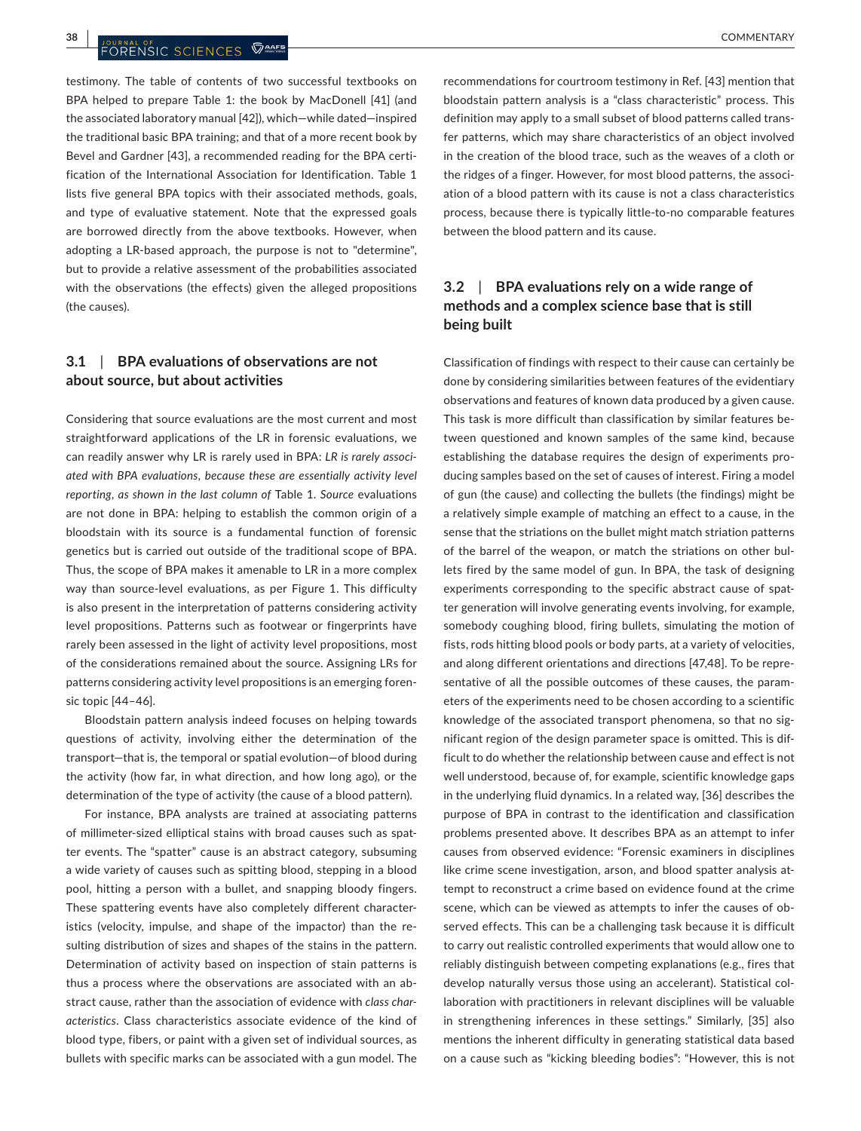testimony. The table of contents of two successful textbooks on BPA helped to prepare Table 1: the book by MacDonell [41] (and the associated laboratory manual [42]), which—while dated—inspired the traditional basic BPA training; and that of a more recent book by Bevel and Gardner [43], a recommended reading for the BPA certification of the International Association for Identification. Table 1 lists five general BPA topics with their associated methods, goals, and type of evaluative statement. Note that the expressed goals are borrowed directly from the above textbooks. However, when adopting a LR-based approach, the purpose is not to "determine", but to provide a relative assessment of the probabilities associated with the observations (the effects) given the alleged propositions (the causes).

## **3.1**  | **BPA evaluations of observations are not about source, but about activities**

Considering that source evaluations are the most current and most straightforward applications of the LR in forensic evaluations, we can readily answer why LR is rarely used in BPA: *LR is rarely associated with BPA evaluations*, *because these are essentially activity level reporting*, *as shown in the last column of* Table 1. *Source* evaluations are not done in BPA: helping to establish the common origin of a bloodstain with its source is a fundamental function of forensic genetics but is carried out outside of the traditional scope of BPA. Thus, the scope of BPA makes it amenable to LR in a more complex way than source-level evaluations, as per Figure 1. This difficulty is also present in the interpretation of patterns considering activity level propositions. Patterns such as footwear or fingerprints have rarely been assessed in the light of activity level propositions, most of the considerations remained about the source. Assigning LRs for patterns considering activity level propositions is an emerging forensic topic [44–46].

Bloodstain pattern analysis indeed focuses on helping towards questions of activity, involving either the determination of the transport—that is, the temporal or spatial evolution—of blood during the activity (how far, in what direction, and how long ago), or the determination of the type of activity (the cause of a blood pattern).

For instance, BPA analysts are trained at associating patterns of millimeter-sized elliptical stains with broad causes such as spatter events. The "spatter" cause is an abstract category, subsuming a wide variety of causes such as spitting blood, stepping in a blood pool, hitting a person with a bullet, and snapping bloody fingers. These spattering events have also completely different characteristics (velocity, impulse, and shape of the impactor) than the resulting distribution of sizes and shapes of the stains in the pattern. Determination of activity based on inspection of stain patterns is thus a process where the observations are associated with an abstract cause, rather than the association of evidence with *class characteristics*. Class characteristics associate evidence of the kind of blood type, fibers, or paint with a given set of individual sources, as bullets with specific marks can be associated with a gun model. The

recommendations for courtroom testimony in Ref. [43] mention that bloodstain pattern analysis is a "class characteristic" process. This definition may apply to a small subset of blood patterns called transfer patterns, which may share characteristics of an object involved in the creation of the blood trace, such as the weaves of a cloth or the ridges of a finger. However, for most blood patterns, the association of a blood pattern with its cause is not a class characteristics process, because there is typically little-to-no comparable features between the blood pattern and its cause.

## **3.2**  | **BPA evaluations rely on a wide range of methods and a complex science base that is still being built**

Classification of findings with respect to their cause can certainly be done by considering similarities between features of the evidentiary observations and features of known data produced by a given cause. This task is more difficult than classification by similar features between questioned and known samples of the same kind, because establishing the database requires the design of experiments producing samples based on the set of causes of interest. Firing a model of gun (the cause) and collecting the bullets (the findings) might be a relatively simple example of matching an effect to a cause, in the sense that the striations on the bullet might match striation patterns of the barrel of the weapon, or match the striations on other bullets fired by the same model of gun. In BPA, the task of designing experiments corresponding to the specific abstract cause of spatter generation will involve generating events involving, for example, somebody coughing blood, firing bullets, simulating the motion of fists, rods hitting blood pools or body parts, at a variety of velocities, and along different orientations and directions [47,48]. To be representative of all the possible outcomes of these causes, the parameters of the experiments need to be chosen according to a scientific knowledge of the associated transport phenomena, so that no significant region of the design parameter space is omitted. This is difficult to do whether the relationship between cause and effect is not well understood, because of, for example, scientific knowledge gaps in the underlying fluid dynamics. In a related way, [36] describes the purpose of BPA in contrast to the identification and classification problems presented above. It describes BPA as an attempt to infer causes from observed evidence: "Forensic examiners in disciplines like crime scene investigation, arson, and blood spatter analysis attempt to reconstruct a crime based on evidence found at the crime scene, which can be viewed as attempts to infer the causes of observed effects. This can be a challenging task because it is difficult to carry out realistic controlled experiments that would allow one to reliably distinguish between competing explanations (e.g., fires that develop naturally versus those using an accelerant). Statistical collaboration with practitioners in relevant disciplines will be valuable in strengthening inferences in these settings." Similarly, [35] also mentions the inherent difficulty in generating statistical data based on a cause such as "kicking bleeding bodies": "However, this is not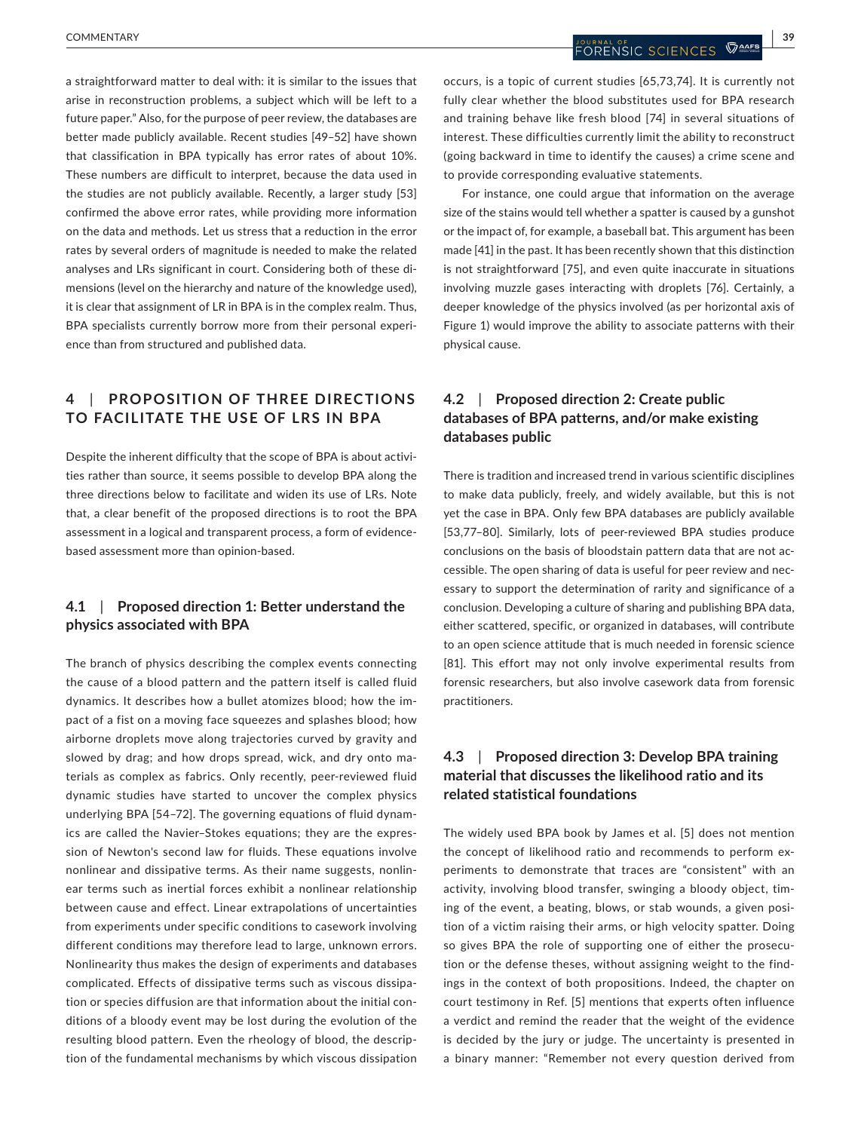a straightforward matter to deal with: it is similar to the issues that arise in reconstruction problems, a subject which will be left to a future paper." Also, for the purpose of peer review, the databases are better made publicly available. Recent studies [49–52] have shown that classification in BPA typically has error rates of about 10%. These numbers are difficult to interpret, because the data used in the studies are not publicly available. Recently, a larger study [53] confirmed the above error rates, while providing more information on the data and methods. Let us stress that a reduction in the error rates by several orders of magnitude is needed to make the related analyses and LRs significant in court. Considering both of these dimensions (level on the hierarchy and nature of the knowledge used), it is clear that assignment of LR in BPA is in the complex realm. Thus, BPA specialists currently borrow more from their personal experience than from structured and published data.

## **4**  | **PROPOSITION OF THREE DIREC TIONS TO FACILITATE THE USE OF LRS IN BPA**

Despite the inherent difficulty that the scope of BPA is about activities rather than source, it seems possible to develop BPA along the three directions below to facilitate and widen its use of LRs. Note that, a clear benefit of the proposed directions is to root the BPA assessment in a logical and transparent process, a form of evidencebased assessment more than opinion-based.

### **4.1**  | **Proposed direction 1: Better understand the physics associated with BPA**

The branch of physics describing the complex events connecting the cause of a blood pattern and the pattern itself is called fluid dynamics. It describes how a bullet atomizes blood; how the impact of a fist on a moving face squeezes and splashes blood; how airborne droplets move along trajectories curved by gravity and slowed by drag; and how drops spread, wick, and dry onto materials as complex as fabrics. Only recently, peer-reviewed fluid dynamic studies have started to uncover the complex physics underlying BPA [54–72]. The governing equations of fluid dynamics are called the Navier–Stokes equations; they are the expression of Newton's second law for fluids. These equations involve nonlinear and dissipative terms. As their name suggests, nonlinear terms such as inertial forces exhibit a nonlinear relationship between cause and effect. Linear extrapolations of uncertainties from experiments under specific conditions to casework involving different conditions may therefore lead to large, unknown errors. Nonlinearity thus makes the design of experiments and databases complicated. Effects of dissipative terms such as viscous dissipation or species diffusion are that information about the initial conditions of a bloody event may be lost during the evolution of the resulting blood pattern. Even the rheology of blood, the description of the fundamental mechanisms by which viscous dissipation

occurs, is a topic of current studies [65,73,74]. It is currently not fully clear whether the blood substitutes used for BPA research and training behave like fresh blood [74] in several situations of interest. These difficulties currently limit the ability to reconstruct (going backward in time to identify the causes) a crime scene and to provide corresponding evaluative statements.

For instance, one could argue that information on the average size of the stains would tell whether a spatter is caused by a gunshot or the impact of, for example, a baseball bat. This argument has been made [41] in the past. It has been recently shown that this distinction is not straightforward [75], and even quite inaccurate in situations involving muzzle gases interacting with droplets [76]. Certainly, a deeper knowledge of the physics involved (as per horizontal axis of Figure 1) would improve the ability to associate patterns with their physical cause.

## **4.2**  | **Proposed direction 2: Create public databases of BPA patterns, and/or make existing databases public**

There is tradition and increased trend in various scientific disciplines to make data publicly, freely, and widely available, but this is not yet the case in BPA. Only few BPA databases are publicly available [53,77–80]. Similarly, lots of peer-reviewed BPA studies produce conclusions on the basis of bloodstain pattern data that are not accessible. The open sharing of data is useful for peer review and necessary to support the determination of rarity and significance of a conclusion. Developing a culture of sharing and publishing BPA data, either scattered, specific, or organized in databases, will contribute to an open science attitude that is much needed in forensic science [81]. This effort may not only involve experimental results from forensic researchers, but also involve casework data from forensic practitioners.

### **4.3**  | **Proposed direction 3: Develop BPA training material that discusses the likelihood ratio and its related statistical foundations**

The widely used BPA book by James et al. [5] does not mention the concept of likelihood ratio and recommends to perform experiments to demonstrate that traces are "consistent" with an activity, involving blood transfer, swinging a bloody object, timing of the event, a beating, blows, or stab wounds, a given position of a victim raising their arms, or high velocity spatter. Doing so gives BPA the role of supporting one of either the prosecution or the defense theses, without assigning weight to the findings in the context of both propositions. Indeed, the chapter on court testimony in Ref. [5] mentions that experts often influence a verdict and remind the reader that the weight of the evidence is decided by the jury or judge. The uncertainty is presented in a binary manner: "Remember not every question derived from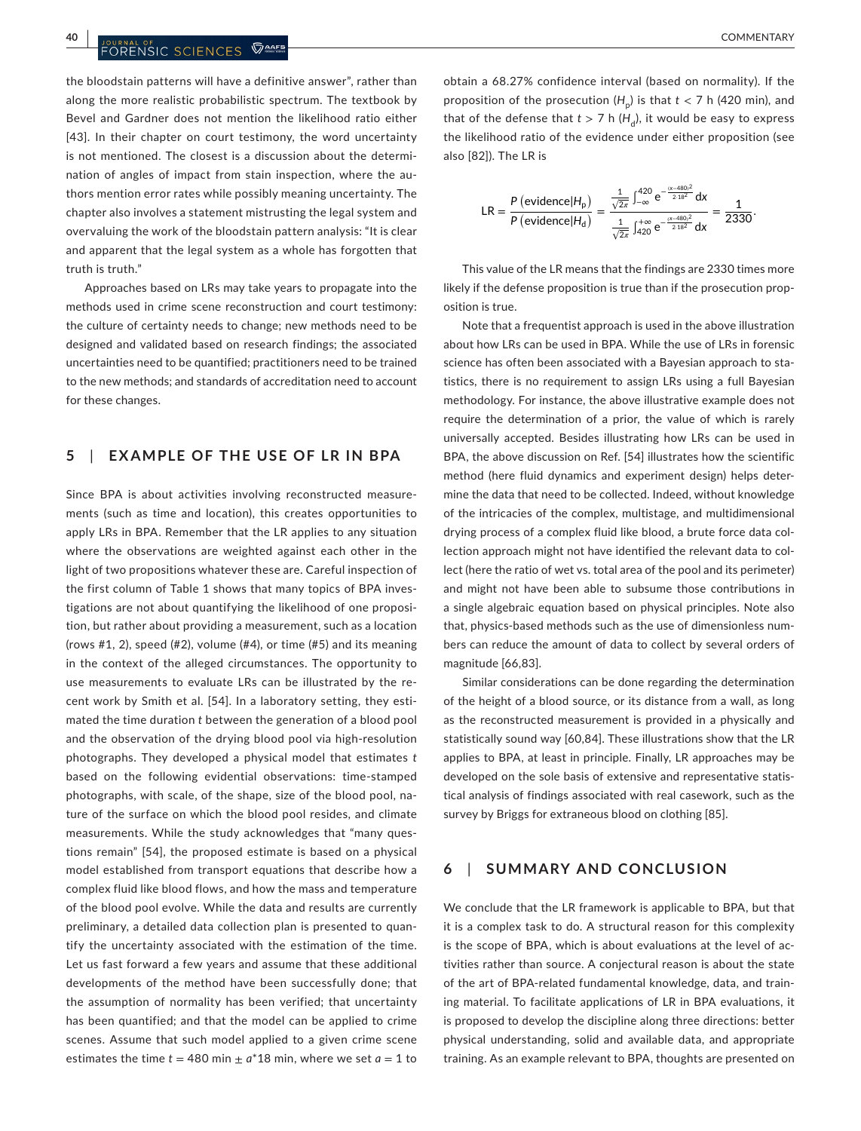the bloodstain patterns will have a definitive answer", rather than along the more realistic probabilistic spectrum. The textbook by Bevel and Gardner does not mention the likelihood ratio either [43]. In their chapter on court testimony, the word uncertainty is not mentioned. The closest is a discussion about the determination of angles of impact from stain inspection, where the authors mention error rates while possibly meaning uncertainty. The chapter also involves a statement mistrusting the legal system and overvaluing the work of the bloodstain pattern analysis: "It is clear and apparent that the legal system as a whole has forgotten that truth is truth."

Approaches based on LRs may take years to propagate into the methods used in crime scene reconstruction and court testimony: the culture of certainty needs to change; new methods need to be designed and validated based on research findings; the associated uncertainties need to be quantified; practitioners need to be trained to the new methods; and standards of accreditation need to account for these changes.

#### **5**  | **EXAMPLE OF THE USE OF LR IN BPA**

Since BPA is about activities involving reconstructed measurements (such as time and location), this creates opportunities to apply LRs in BPA. Remember that the LR applies to any situation where the observations are weighted against each other in the light of two propositions whatever these are. Careful inspection of the first column of Table 1 shows that many topics of BPA investigations are not about quantifying the likelihood of one proposition, but rather about providing a measurement, such as a location (rows #1, 2), speed (#2), volume (#4), or time (#5) and its meaning in the context of the alleged circumstances. The opportunity to use measurements to evaluate LRs can be illustrated by the recent work by Smith et al. [54]. In a laboratory setting, they estimated the time duration *t* between the generation of a blood pool and the observation of the drying blood pool via high-resolution photographs. They developed a physical model that estimates *t* based on the following evidential observations: time-stamped photographs, with scale, of the shape, size of the blood pool, nature of the surface on which the blood pool resides, and climate measurements. While the study acknowledges that "many questions remain" [54], the proposed estimate is based on a physical model established from transport equations that describe how a complex fluid like blood flows, and how the mass and temperature of the blood pool evolve. While the data and results are currently preliminary, a detailed data collection plan is presented to quantify the uncertainty associated with the estimation of the time. Let us fast forward a few years and assume that these additional developments of the method have been successfully done; that the assumption of normality has been verified; that uncertainty has been quantified; and that the model can be applied to crime scenes. Assume that such model applied to a given crime scene estimates the time  $t = 480$  min  $\pm a^*18$  min, where we set  $a = 1$  to

obtain a 68.27% confidence interval (based on normality). If the proposition of the prosecution  $(H_n)$  is that  $t < 7$  h (420 min), and that of the defense that  $t > 7$  h ( $H_d$ ), it would be easy to express the likelihood ratio of the evidence under either proposition (see also [82]). The LR is

$$
LR = \frac{P(\text{evidence}|H_{\text{p}})}{P(\text{evidence}|H_{\text{d}})} = \frac{\frac{1}{\sqrt{2\pi}} \int_{-\infty}^{420} e^{-\frac{(x-480)^2}{218^2}} dx}{\frac{1}{\sqrt{2\pi}} \int_{420}^{+\infty} e^{-\frac{(x-480)^2}{218^2}} dx} = \frac{1}{2330}.
$$

This value of the LR means that the findings are 2330 times more likely if the defense proposition is true than if the prosecution proposition is true.

Note that a frequentist approach is used in the above illustration about how LRs can be used in BPA. While the use of LRs in forensic science has often been associated with a Bayesian approach to statistics, there is no requirement to assign LRs using a full Bayesian methodology. For instance, the above illustrative example does not require the determination of a prior, the value of which is rarely universally accepted. Besides illustrating how LRs can be used in BPA, the above discussion on Ref. [54] illustrates how the scientific method (here fluid dynamics and experiment design) helps determine the data that need to be collected. Indeed, without knowledge of the intricacies of the complex, multistage, and multidimensional drying process of a complex fluid like blood, a brute force data collection approach might not have identified the relevant data to collect (here the ratio of wet vs. total area of the pool and its perimeter) and might not have been able to subsume those contributions in a single algebraic equation based on physical principles. Note also that, physics-based methods such as the use of dimensionless numbers can reduce the amount of data to collect by several orders of magnitude [66,83].

Similar considerations can be done regarding the determination of the height of a blood source, or its distance from a wall, as long as the reconstructed measurement is provided in a physically and statistically sound way [60,84]. These illustrations show that the LR applies to BPA, at least in principle. Finally, LR approaches may be developed on the sole basis of extensive and representative statistical analysis of findings associated with real casework, such as the survey by Briggs for extraneous blood on clothing [85].

#### **6**  | **SUMMARY AND CONCLUSION**

We conclude that the LR framework is applicable to BPA, but that it is a complex task to do. A structural reason for this complexity is the scope of BPA, which is about evaluations at the level of activities rather than source. A conjectural reason is about the state of the art of BPA-related fundamental knowledge, data, and training material. To facilitate applications of LR in BPA evaluations, it is proposed to develop the discipline along three directions: better physical understanding, solid and available data, and appropriate training. As an example relevant to BPA, thoughts are presented on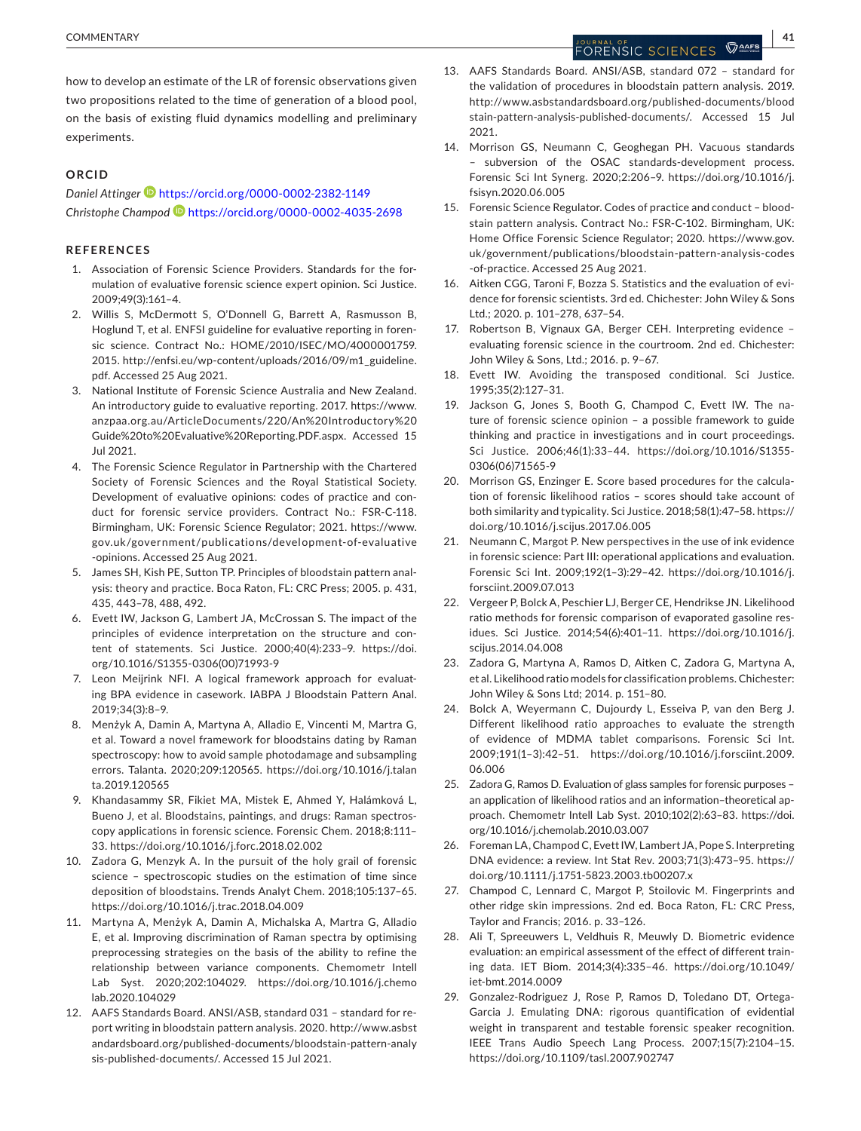how to develop an estimate of the LR of forensic observations given two propositions related to the time of generation of a blood pool, on the basis of existing fluid dynamics modelling and preliminary experiments.

#### **ORCID**

*Daniel Attinge[r](https://orcid.org/0000-0002-2382-1149)* <https://orcid.org/0000-0002-2382-1149> *Christophe Champod* <https://orcid.org/0000-0002-4035-2698>

#### **REFERENCES**

- 1. Association of Forensic Science Providers. Standards for the formulation of evaluative forensic science expert opinion. Sci Justice. 2009;49(3):161–4.
- 2. Willis S, McDermott S, O'Donnell G, Barrett A, Rasmusson B, Hoglund T, et al. ENFSI guideline for evaluative reporting in forensic science. Contract No.: HOME/2010/ISEC/MO/4000001759. 2015. [http://enfsi.eu/wp-content/uploads/2016/09/m1\\_guideline.](http://enfsi.eu/wp-content/uploads/2016/09/m1_guideline.pdf) [pdf.](http://enfsi.eu/wp-content/uploads/2016/09/m1_guideline.pdf) Accessed 25 Aug 2021.
- 3. National Institute of Forensic Science Australia and New Zealand. An introductory guide to evaluative reporting. 2017. [https://www.](https://www.anzpaa.org.au/ArticleDocuments/220/An Introductory Guide to Evaluative Reporting.PDF.aspx) [anzpaa.org.au/ArticleDocuments/220/An%20Introductory%20](https://www.anzpaa.org.au/ArticleDocuments/220/An Introductory Guide to Evaluative Reporting.PDF.aspx) [Guide%20to%20Evaluative%20Reporting.PDF.aspx.](https://www.anzpaa.org.au/ArticleDocuments/220/An Introductory Guide to Evaluative Reporting.PDF.aspx) Accessed 15 Jul 2021.
- 4. The Forensic Science Regulator in Partnership with the Chartered Society of Forensic Sciences and the Royal Statistical Society. Development of evaluative opinions: codes of practice and conduct for forensic service providers. Contract No.: FSR-C-118. Birmingham, UK: Forensic Science Regulator; 2021. [https://www.](https://www.gov.uk/government/publications/development-of-evaluative-opinions) [gov.uk/government/publications/development-of-evaluative](https://www.gov.uk/government/publications/development-of-evaluative-opinions) [-opinions](https://www.gov.uk/government/publications/development-of-evaluative-opinions). Accessed 25 Aug 2021.
- 5. James SH, Kish PE, Sutton TP. Principles of bloodstain pattern analysis: theory and practice. Boca Raton, FL: CRC Press; 2005. p. 431, 435, 443–78, 488, 492.
- 6. Evett IW, Jackson G, Lambert JA, McCrossan S. The impact of the principles of evidence interpretation on the structure and content of statements. Sci Justice. 2000;40(4):233–9. [https://doi.](https://doi.org/10.1016/S1355-0306(00)71993-9) [org/10.1016/S1355-0306\(00\)71993-9](https://doi.org/10.1016/S1355-0306(00)71993-9)
- 7. Leon Meijrink NFI. A logical framework approach for evaluating BPA evidence in casework. IABPA J Bloodstain Pattern Anal. 2019;34(3):8–9.
- 8. Menżyk A, Damin A, Martyna A, Alladio E, Vincenti M, Martra G, et al. Toward a novel framework for bloodstains dating by Raman spectroscopy: how to avoid sample photodamage and subsampling errors. Talanta. 2020;209:120565. [https://doi.org/10.1016/j.talan](https://doi.org/10.1016/j.talanta.2019.120565) [ta.2019.120565](https://doi.org/10.1016/j.talanta.2019.120565)
- 9. Khandasammy SR, Fikiet MA, Mistek E, Ahmed Y, Halámková L, Bueno J, et al. Bloodstains, paintings, and drugs: Raman spectroscopy applications in forensic science. Forensic Chem. 2018;8:111– 33.<https://doi.org/10.1016/j.forc.2018.02.002>
- 10. Zadora G, Menzyk A. In the pursuit of the holy grail of forensic science – spectroscopic studies on the estimation of time since deposition of bloodstains. Trends Analyt Chem. 2018;105:137–65. <https://doi.org/10.1016/j.trac.2018.04.009>
- 11. Martyna A, Menżyk A, Damin A, Michalska A, Martra G, Alladio E, et al. Improving discrimination of Raman spectra by optimising preprocessing strategies on the basis of the ability to refine the relationship between variance components. Chemometr Intell Lab Syst. 2020;202:104029. [https://doi.org/10.1016/j.chemo](https://doi.org/10.1016/j.chemolab.2020.104029) [lab.2020.104029](https://doi.org/10.1016/j.chemolab.2020.104029)
- 12. AAFS Standards Board. ANSI/ASB, standard 031 standard for report writing in bloodstain pattern analysis. 2020. [http://www.asbst](http://www.asbstandardsboard.org/published-documents/bloodstain-pattern-analysis-published-documents/) [andardsboard.org/published-documents/bloodstain-pattern-analy](http://www.asbstandardsboard.org/published-documents/bloodstain-pattern-analysis-published-documents/) [sis-published-documents/.](http://www.asbstandardsboard.org/published-documents/bloodstain-pattern-analysis-published-documents/) Accessed 15 Jul 2021.

13. AAFS Standards Board. ANSI/ASB, standard 072 – standard for the validation of procedures in bloodstain pattern analysis. 2019. [http://www.asbstandardsboard.org/published-documents/blood](http://www.asbstandardsboard.org/published-documents/bloodstain-pattern-analysis-published-documents/) [stain-pattern-analysis-published-documents/.](http://www.asbstandardsboard.org/published-documents/bloodstain-pattern-analysis-published-documents/) Accessed 15 Jul 2021.

- 14. Morrison GS, Neumann C, Geoghegan PH. Vacuous standards – subversion of the OSAC standards-development process. Forensic Sci Int Synerg. 2020;2:206–9. [https://doi.org/10.1016/j.](https://doi.org/10.1016/j.fsisyn.2020.06.005) [fsisyn.2020.06.005](https://doi.org/10.1016/j.fsisyn.2020.06.005)
- 15. Forensic Science Regulator. Codes of practice and conduct bloodstain pattern analysis. Contract No.: FSR-C-102. Birmingham, UK: Home Office Forensic Science Regulator; 2020. [https://www.gov.](https://www.gov.uk/government/publications/bloodstain-pattern-analysis-codes-of-practice) [uk/government/publications/bloodstain-pattern-analysis-codes](https://www.gov.uk/government/publications/bloodstain-pattern-analysis-codes-of-practice) [-of-practice.](https://www.gov.uk/government/publications/bloodstain-pattern-analysis-codes-of-practice) Accessed 25 Aug 2021.
- 16. Aitken CGG, Taroni F, Bozza S. Statistics and the evaluation of evidence for forensic scientists. 3rd ed. Chichester: John Wiley & Sons Ltd.; 2020. p. 101–278, 637–54.
- 17. Robertson B, Vignaux GA, Berger CEH. Interpreting evidence evaluating forensic science in the courtroom. 2nd ed. Chichester: John Wiley & Sons, Ltd.; 2016. p. 9–67.
- 18. Evett IW. Avoiding the transposed conditional. Sci Justice. 1995;35(2):127–31.
- 19. Jackson G, Jones S, Booth G, Champod C, Evett IW. The nature of forensic science opinion – a possible framework to guide thinking and practice in investigations and in court proceedings. Sci Justice. 2006;46(1):33–44. [https://doi.org/10.1016/S1355-](https://doi.org/10.1016/S1355-0306(06)71565-9) [0306\(06\)71565-9](https://doi.org/10.1016/S1355-0306(06)71565-9)
- 20. Morrison GS, Enzinger E. Score based procedures for the calculation of forensic likelihood ratios – scores should take account of both similarity and typicality. Sci Justice. 2018;58(1):47–58. [https://](https://doi.org/10.1016/j.scijus.2017.06.005) [doi.org/10.1016/j.scijus.2017.06.005](https://doi.org/10.1016/j.scijus.2017.06.005)
- 21. Neumann C, Margot P. New perspectives in the use of ink evidence in forensic science: Part III: operational applications and evaluation. Forensic Sci Int. 2009;192(1–3):29–42. [https://doi.org/10.1016/j.](https://doi.org/10.1016/j.forsciint.2009.07.013) [forsciint.2009.07.013](https://doi.org/10.1016/j.forsciint.2009.07.013)
- 22. Vergeer P, Bolck A, Peschier LJ, Berger CE, Hendrikse JN. Likelihood ratio methods for forensic comparison of evaporated gasoline residues. Sci Justice. 2014;54(6):401–11. [https://doi.org/10.1016/j.](https://doi.org/10.1016/j.scijus.2014.04.008) [scijus.2014.04.008](https://doi.org/10.1016/j.scijus.2014.04.008)
- 23. Zadora G, Martyna A, Ramos D, Aitken C, Zadora G, Martyna A, et al. Likelihood ratio models for classification problems. Chichester: John Wiley & Sons Ltd; 2014. p. 151–80.
- 24. Bolck A, Weyermann C, Dujourdy L, Esseiva P, van den Berg J. Different likelihood ratio approaches to evaluate the strength of evidence of MDMA tablet comparisons. Forensic Sci Int. 2009;191(1–3):42–51. [https://doi.org/10.1016/j.forsciint.2009.](https://doi.org/10.1016/j.forsciint.2009.06.006)  [06.006](https://doi.org/10.1016/j.forsciint.2009.06.006)
- 25. Zadora G, Ramos D. Evaluation of glass samples for forensic purposes an application of likelihood ratios and an information–theoretical approach. Chemometr Intell Lab Syst. 2010;102(2):63–83. [https://doi.](https://doi.org/10.1016/j.chemolab.2010.03.007) [org/10.1016/j.chemolab.2010.03.007](https://doi.org/10.1016/j.chemolab.2010.03.007)
- 26. Foreman LA, Champod C, Evett IW, Lambert JA, Pope S. Interpreting DNA evidence: a review. Int Stat Rev. 2003;71(3):473–95. [https://](https://doi.org/10.1111/j.1751-5823.2003.tb00207.x) [doi.org/10.1111/j.1751-5823.2003.tb00207.x](https://doi.org/10.1111/j.1751-5823.2003.tb00207.x)
- 27. Champod C, Lennard C, Margot P, Stoilovic M. Fingerprints and other ridge skin impressions. 2nd ed. Boca Raton, FL: CRC Press, Taylor and Francis; 2016. p. 33–126.
- 28. Ali T, Spreeuwers L, Veldhuis R, Meuwly D. Biometric evidence evaluation: an empirical assessment of the effect of different training data. IET Biom. 2014;3(4):335–46. [https://doi.org/10.1049/](https://doi.org/10.1049/iet-bmt.2014.0009) [iet-bmt.2014.0009](https://doi.org/10.1049/iet-bmt.2014.0009)
- 29. Gonzalez-Rodriguez J, Rose P, Ramos D, Toledano DT, Ortega-Garcia J. Emulating DNA: rigorous quantification of evidential weight in transparent and testable forensic speaker recognition. IEEE Trans Audio Speech Lang Process. 2007;15(7):2104–15. <https://doi.org/10.1109/tasl.2007.902747>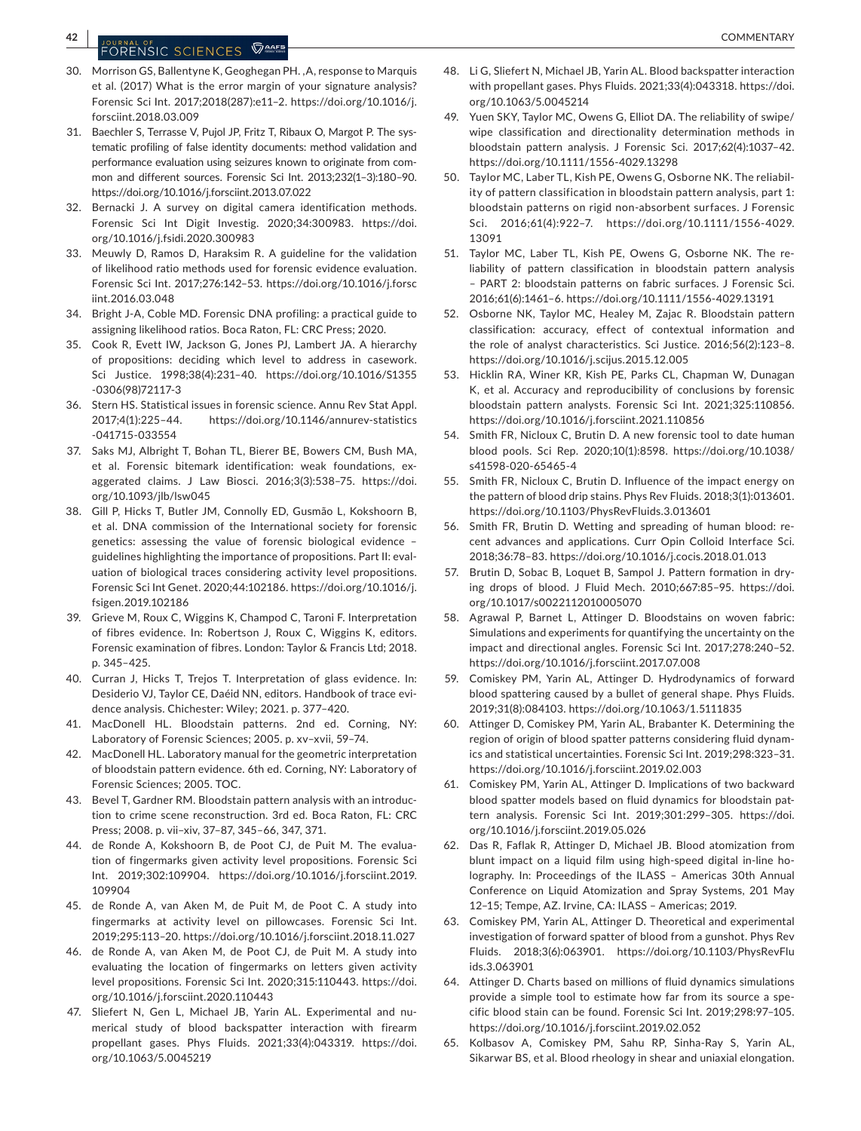# **42 DOUGLASH COMMENTARY COMMENTARY**

- 30. Morrison GS, Ballentyne K, Geoghegan PH. ,A, response to Marquis et al. (2017) What is the error margin of your signature analysis? Forensic Sci Int. 2017;2018(287):e11–2. [https://doi.org/10.1016/j.](https://doi.org/10.1016/j.forsciint.2018.03.009) [forsciint.2018.03.009](https://doi.org/10.1016/j.forsciint.2018.03.009)
- 31. Baechler S, Terrasse V, Pujol JP, Fritz T, Ribaux O, Margot P. The systematic profiling of false identity documents: method validation and performance evaluation using seizures known to originate from common and different sources. Forensic Sci Int. 2013;232(1–3):180–90. <https://doi.org/10.1016/j.forsciint.2013.07.022>
- 32. Bernacki J. A survey on digital camera identification methods. Forensic Sci Int Digit Investig. 2020;34:300983. [https://doi.](https://doi.org/10.1016/j.fsidi.2020.300983) [org/10.1016/j.fsidi.2020.300983](https://doi.org/10.1016/j.fsidi.2020.300983)
- 33. Meuwly D, Ramos D, Haraksim R. A guideline for the validation of likelihood ratio methods used for forensic evidence evaluation. Forensic Sci Int. 2017;276:142–53. [https://doi.org/10.1016/j.forsc](https://doi.org/10.1016/j.forsciint.2016.03.048) [iint.2016.03.048](https://doi.org/10.1016/j.forsciint.2016.03.048)
- 34. Bright J-A, Coble MD. Forensic DNA profiling: a practical guide to assigning likelihood ratios. Boca Raton, FL: CRC Press; 2020.
- 35. Cook R, Evett IW, Jackson G, Jones PJ, Lambert JA. A hierarchy of propositions: deciding which level to address in casework. Sci Justice. 1998;38(4):231–40. [https://doi.org/10.1016/S1355](https://doi.org/10.1016/S1355-0306(98)72117-3) [-0306\(98\)72117-3](https://doi.org/10.1016/S1355-0306(98)72117-3)
- 36. Stern HS. Statistical issues in forensic science. Annu Rev Stat Appl. 2017;4(1):225–44. [https://doi.org/10.1146/annurev-statistics](https://doi.org/10.1146/annurev-statistics-041715-033554) [-041715-033554](https://doi.org/10.1146/annurev-statistics-041715-033554)
- 37. Saks MJ, Albright T, Bohan TL, Bierer BE, Bowers CM, Bush MA, et al. Forensic bitemark identification: weak foundations, exaggerated claims. J Law Biosci. 2016;3(3):538–75. [https://doi.](https://doi.org/10.1093/jlb/lsw045) [org/10.1093/jlb/lsw045](https://doi.org/10.1093/jlb/lsw045)
- 38. Gill P, Hicks T, Butler JM, Connolly ED, Gusmão L, Kokshoorn B, et al. DNA commission of the International society for forensic genetics: assessing the value of forensic biological evidence – guidelines highlighting the importance of propositions. Part II: evaluation of biological traces considering activity level propositions. Forensic Sci Int Genet. 2020;44:102186. [https://doi.org/10.1016/j.](https://doi.org/10.1016/j.fsigen.2019.102186) [fsigen.2019.102186](https://doi.org/10.1016/j.fsigen.2019.102186)
- 39. Grieve M, Roux C, Wiggins K, Champod C, Taroni F. Interpretation of fibres evidence. In: Robertson J, Roux C, Wiggins K, editors. Forensic examination of fibres. London: Taylor & Francis Ltd; 2018. p. 345–425.
- 40. Curran J, Hicks T, Trejos T. Interpretation of glass evidence. In: Desiderio VJ, Taylor CE, Daéid NN, editors. Handbook of trace evidence analysis. Chichester: Wiley; 2021. p. 377–420.
- 41. MacDonell HL. Bloodstain patterns. 2nd ed. Corning, NY: Laboratory of Forensic Sciences; 2005. p. xv–xvii, 59–74.
- 42. MacDonell HL. Laboratory manual for the geometric interpretation of bloodstain pattern evidence. 6th ed. Corning, NY: Laboratory of Forensic Sciences; 2005. TOC.
- 43. Bevel T, Gardner RM. Bloodstain pattern analysis with an introduction to crime scene reconstruction. 3rd ed. Boca Raton, FL: CRC Press; 2008. p. vii–xiv, 37–87, 345–66, 347, 371.
- 44. de Ronde A, Kokshoorn B, de Poot CJ, de Puit M. The evaluation of fingermarks given activity level propositions. Forensic Sci Int. 2019;302:109904. [https://doi.org/10.1016/j.forsciint.2019.](https://doi.org/10.1016/j.forsciint.2019.109904) [109904](https://doi.org/10.1016/j.forsciint.2019.109904)
- 45. de Ronde A, van Aken M, de Puit M, de Poot C. A study into fingermarks at activity level on pillowcases. Forensic Sci Int. 2019;295:113–20. <https://doi.org/10.1016/j.forsciint.2018.11.027>
- 46. de Ronde A, van Aken M, de Poot CJ, de Puit M. A study into evaluating the location of fingermarks on letters given activity level propositions. Forensic Sci Int. 2020;315:110443. [https://doi.](https://doi.org/10.1016/j.forsciint.2020.110443) [org/10.1016/j.forsciint.2020.110443](https://doi.org/10.1016/j.forsciint.2020.110443)
- 47. Sliefert N, Gen L, Michael JB, Yarin AL. Experimental and numerical study of blood backspatter interaction with firearm propellant gases. Phys Fluids. 2021;33(4):043319. [https://doi.](https://doi.org/10.1063/5.0045219) [org/10.1063/5.0045219](https://doi.org/10.1063/5.0045219)
- 48. Li G, Sliefert N, Michael JB, Yarin AL. Blood backspatter interaction with propellant gases. Phys Fluids. 2021;33(4):043318. [https://doi.](https://doi.org/10.1063/5.0045214) [org/10.1063/5.0045214](https://doi.org/10.1063/5.0045214)
- 49. Yuen SKY, Taylor MC, Owens G, Elliot DA. The reliability of swipe/ wipe classification and directionality determination methods in bloodstain pattern analysis. J Forensic Sci. 2017;62(4):1037–42. <https://doi.org/10.1111/1556-4029.13298>
- 50. Taylor MC, Laber TL, Kish PE, Owens G, Osborne NK. The reliability of pattern classification in bloodstain pattern analysis, part 1: bloodstain patterns on rigid non-absorbent surfaces. J Forensic Sci. 2016;61(4):922–7. [https://doi.org/10.1111/1556-4029.](https://doi.org/10.1111/1556-4029.13091)  [13091](https://doi.org/10.1111/1556-4029.13091)
- 51. Taylor MC, Laber TL, Kish PE, Owens G, Osborne NK. The reliability of pattern classification in bloodstain pattern analysis – PART 2: bloodstain patterns on fabric surfaces. J Forensic Sci. 2016;61(6):1461–6. <https://doi.org/10.1111/1556-4029.13191>
- 52. Osborne NK, Taylor MC, Healey M, Zajac R. Bloodstain pattern classification: accuracy, effect of contextual information and the role of analyst characteristics. Sci Justice. 2016;56(2):123–8. <https://doi.org/10.1016/j.scijus.2015.12.005>
- 53. Hicklin RA, Winer KR, Kish PE, Parks CL, Chapman W, Dunagan K, et al. Accuracy and reproducibility of conclusions by forensic bloodstain pattern analysts. Forensic Sci Int. 2021;325:110856. <https://doi.org/10.1016/j.forsciint.2021.110856>
- 54. Smith FR, Nicloux C, Brutin D. A new forensic tool to date human blood pools. Sci Rep. 2020;10(1):8598. [https://doi.org/10.1038/](https://doi.org/10.1038/s41598-020-65465-4) [s41598-020-65465-4](https://doi.org/10.1038/s41598-020-65465-4)
- 55. Smith FR, Nicloux C, Brutin D. Influence of the impact energy on the pattern of blood drip stains. Phys Rev Fluids. 2018;3(1):013601. <https://doi.org/10.1103/PhysRevFluids.3.013601>
- 56. Smith FR, Brutin D. Wetting and spreading of human blood: recent advances and applications. Curr Opin Colloid Interface Sci. 2018;36:78–83. <https://doi.org/10.1016/j.cocis.2018.01.013>
- 57. Brutin D, Sobac B, Loquet B, Sampol J. Pattern formation in drying drops of blood. J Fluid Mech. 2010;667:85–95. [https://doi.](https://doi.org/10.1017/s0022112010005070) [org/10.1017/s0022112010005070](https://doi.org/10.1017/s0022112010005070)
- 58. Agrawal P, Barnet L, Attinger D. Bloodstains on woven fabric: Simulations and experiments for quantifying the uncertainty on the impact and directional angles. Forensic Sci Int. 2017;278:240–52. <https://doi.org/10.1016/j.forsciint.2017.07.008>
- 59. Comiskey PM, Yarin AL, Attinger D. Hydrodynamics of forward blood spattering caused by a bullet of general shape. Phys Fluids. 2019;31(8):084103. <https://doi.org/10.1063/1.5111835>
- 60. Attinger D, Comiskey PM, Yarin AL, Brabanter K. Determining the region of origin of blood spatter patterns considering fluid dynamics and statistical uncertainties. Forensic Sci Int. 2019;298:323–31. <https://doi.org/10.1016/j.forsciint.2019.02.003>
- 61. Comiskey PM, Yarin AL, Attinger D. Implications of two backward blood spatter models based on fluid dynamics for bloodstain pattern analysis. Forensic Sci Int. 2019;301:299–305. [https://doi.](https://doi.org/10.1016/j.forsciint.2019.05.026) [org/10.1016/j.forsciint.2019.05.026](https://doi.org/10.1016/j.forsciint.2019.05.026)
- 62. Das R, Faflak R, Attinger D, Michael JB. Blood atomization from blunt impact on a liquid film using high-speed digital in-line holography. In: Proceedings of the ILASS – Americas 30th Annual Conference on Liquid Atomization and Spray Systems, 201 May 12–15; Tempe, AZ. Irvine, CA: ILASS – Americas; 2019.
- 63. Comiskey PM, Yarin AL, Attinger D. Theoretical and experimental investigation of forward spatter of blood from a gunshot. Phys Rev Fluids. 2018;3(6):063901. [https://doi.org/10.1103/PhysRevFlu](https://doi.org/10.1103/PhysRevFluids.3.063901) [ids.3.063901](https://doi.org/10.1103/PhysRevFluids.3.063901)
- 64. Attinger D. Charts based on millions of fluid dynamics simulations provide a simple tool to estimate how far from its source a specific blood stain can be found. Forensic Sci Int. 2019;298:97–105. <https://doi.org/10.1016/j.forsciint.2019.02.052>
- 65. Kolbasov A, Comiskey PM, Sahu RP, Sinha-Ray S, Yarin AL, Sikarwar BS, et al. Blood rheology in shear and uniaxial elongation.